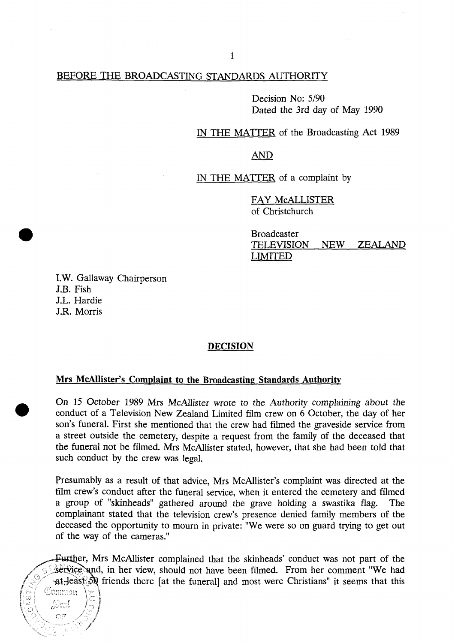# BEFORE THE BROADCASTING STANDARDS AUTHORITY

Decision No: 5/90 Dated the 3rd day of May 1990 Dated the 3rd day of May 1990

IN THE MATTER of the Broadcasting Act 1989 In the Matter of the Broadcasting Act 1989, the Broadcasting Act 1989, the Broadcasting Act 1989, the Broadcast

> **AND** AND

IN THE MATTER of a complaint by

FAY McALLISTER  $of$  Christchurch

Broadcaster TELEVISION NEW ZEALAND<br>LIMITED

I.W. Gallaway Chairperson J.B. Fish J.L. Hardie J.R. Morris

ن<br>محا<br>ت

Sail

## **DECISION**

### **Mrs McAllister's Complaint to the Broadcasting Standards Authority**

On 15 October 1989 Mrs McAllister wrote to the Authority complaining about the conduct of a Television New Zealand Limited film crew on 6 October, the day of her son's funeral. First she mentioned that the crew had filmed the graveside service from a street outside the cemetery, despite a request from the family of the deceased that the funeral not be filmed. Mrs McAllister stated, however, that she had been told that such conduct by the crew was legal.

Presumably as a result of that advice, Mrs McAllister's complaint was directed at the film crew's conduct after the funeral service, when it entered the cemetery and filmed a group of "skinheads" gathered around the grave holding a swastika flag. The complainant stated that the television crew's presence denied family members of the deceased the opportunity to mourn in private: "We were so on guard trying to get out of the way of the cameras."

Further, Mrs McAllister complained that the skinheads' conduct was not part of the service and, in her view, should not have been filmed. From her comment "We had  $\text{at least } 50$  friends there [at the funeral] and most were Christians" it seems that this  $\mathbb{C}{\mathrm{numm}}$ r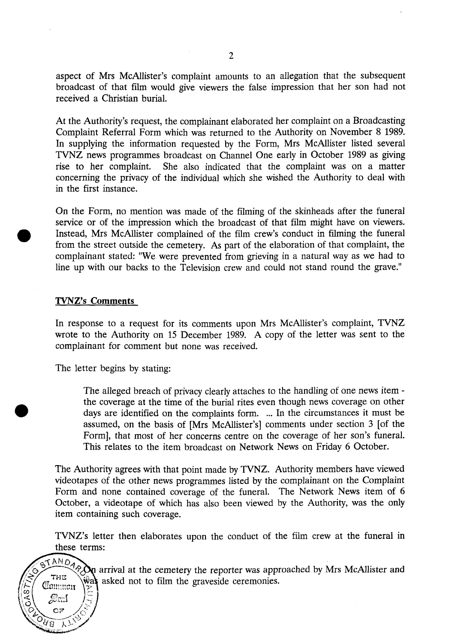aspect of Mrs McAllister's complaint amounts to an allegation that the subsequent broadcast of that film would give viewers the false impression that her son had not received a Christian burial.

At the Authority's request, the complainant elaborated her complaint on a Broadcasting Complaint Referral Form which was returned to the Authority on November 8 1989. In supplying the information requested by the Form, Mrs McAllister listed several TVNZ news programmes broadcast on Channel One early in October 1989 as giving rise to her complaint. She also indicated that the complaint was on a matter concerning the privacy of the individual which she wished the Authority to deal with in the first instance.

On the Form, no mention was made of the filming of the skinheads after the funeral service or of the impression which the broadcast of that film might have on viewers. Instead, Mrs McAllister complained of the film crew's conduct in filming the funeral from the street outside the cemetery. As part of the elaboration of that complaint, the complainant stated: "We were prevented from grieving in a natural way as we had to line up with our backs to the Television crew and could not stand round the grave."

### **TVNZ's Comments**

Cammon

 $S_{\mathfrak{m}}$  $\cap$ 

ुस्रेब

:<br>⊙^

In response to a request for its comments upon Mrs McAllister's complaint, TVNZ wrote to the Authority on 15 December 1989. A copy of the letter was sent to the complainant for comment but none was received.

The letter begins by stating:

The alleged breach of privacy clearly attaches to the handling of one news item the coverage at the time of the burial rites even though news coverage on other days are identified on the complaints form. ... In the circumstances it must be assumed, on the basis of [Mrs McAllister's] comments under section 3 [of the Form], that most of her concerns centre on the coverage of her son's funeral. This relates to the item broadcast on Network News on Friday 6 October.

The Authority agrees with that point made by TVNZ. Authority members have viewed videotapes of the other news programmes listed by the complainant on the Complaint Form and none contained coverage of the funeral. The Network News item of 6 October, a videotape of which has also been viewed by the Authority, was the only item containing such coverage.

TVNZ's letter then elaborates upon the conduct of the film crew at the funeral in these terms:

 $T^{ANDA}$  arrival at the cemetery the reporter was approached by Mrs McAllister and asked not to film the graveside ceremonies.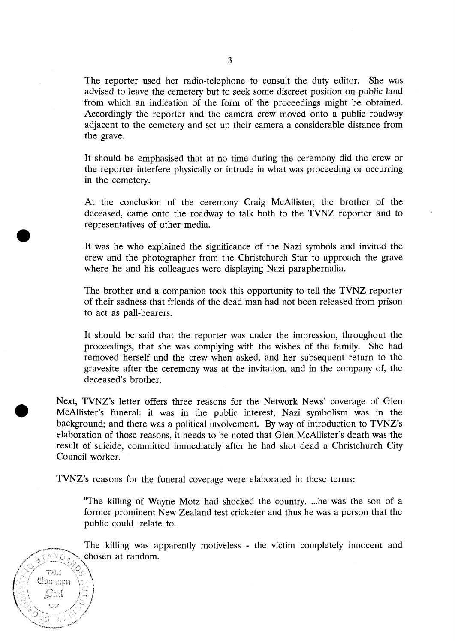The reporter used her radio-telephone to consult the duty editor. She was advised to leave the cemetery but to seek some discreet position on public land from which an indication of the form of the proceedings might be obtained. Accordingly the reporter and the camera crew moved onto a public roadway adjacent to the cemetery and set up their camera a considerable distance from the grave.

It should be emphasised that at no time during the ceremony did the crew or the reporter interfere physically or intrude in what was proceeding or occurring in the cemetery.

At the conclusion of the ceremony Craig McAllister, the brother of the deceased, came onto the roadway to talk both to the TVNZ reporter and to representatives of other media.

It was he who explained the significance of the Nazi symbols and invited the crew and the photographer from the Christchurch Star to approach the grave where he and his colleagues were displaying Nazi paraphernalia.

The brother and a companion took this opportunity to tell the TVNZ reporter of their sadness that friends of the dead man had not been released from prison to act as pall-bearers.

It should be said that the reporter was under the impression, throughout the proceedings, that she was complying with the wishes of the family. She had removed herself and the crew when asked, and her subsequent return to the gravesite after the ceremony was at the invitation, and in the company of, the deceased's brother.

Next, TVNZ's letter offers three reasons for the Network News' coverage of Glen McAllister's funeral: it was in the public interest; Nazi symbolism was in the background; and there was a political involvement. By way of introduction to TVNZ's elaboration of those reasons, it needs to be noted that Glen McAllister's death was the result of suicide, committed immediately after he had shot dead a Christchurch City Council worker.

TVNZ's reasons for the funeral coverage were elaborated in these terms:

 $\mathcal{L}_{\mathbb{C}}$  .  $int = \{ \mathbb{R}^n | \}$  $\frac{1}{2}$  *J*  $\frac{1}{2}$  *l* 

"The killing of Wayne Motz had shocked the country. ...he was the son of a former prominent New Zealand test cricketer and thus he was a person that the public could relate to.

The killing was apparently motiveless - the victim completely innocent and  $\triangle$   $\triangle$   $\triangle$  chosen at random.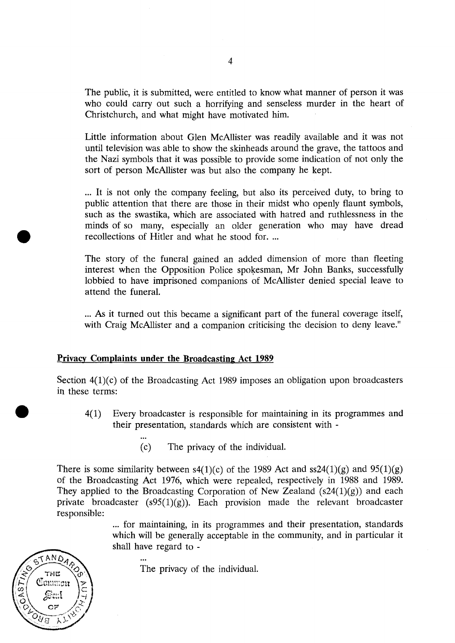The public, it is submitted, were entitled to know what manner of person it was who could carry out such a horrifying and senseless murder in the heart of Christchurch, and what might have motivated him.

Little information about Glen McAllister was readily available and it was not until television was able to show the skinheads around the grave, the tattoos and the Nazi symbols that it was possible to provide some indication of not only the sort of person McAllister was but also the company he kept.

... It is not only the company feeling, but also its perceived duty, to bring to public attention that there are those in their midst who openly flaunt symbols, such as the swastika, which are associated with hatred and ruthlessness in the minds of so many, especially an older generation who may have dread recollections of Hitler and what he stood for. ...

The story of the funeral gained an added dimension of more than fleeting interest when the Opposition Police spokesman, Mr John Banks, successfully lobbied to have imprisoned companions of McAllister denied special leave to attend the funeral.

... As it turned out this became a significant part of the funeral coverage itself, with Craig McAllister and a companion criticising the decision to deny leave."

## **Privacy Complaints under the Broadcasting Act 1989**

Section  $4(1)(c)$  of the Broadcasting Act 1989 imposes an obligation upon broadcasters in these terms:

- 4(1) Every broadcaster is responsible for maintaining in its programmes and their presentation, standards which are consistent with -
	- (c) The privacy of the individual.

There is some similarity between  $s4(1)(c)$  of the 1989 Act and  $ss24(1)(g)$  and  $95(1)(g)$ of the Broadcasting Act 1976, which were repealed, respectively in 1988 and 1989. They applied to the Broadcasting Corporation of New Zealand  $(s24(1)(g))$  and each private broadcaster  $(s95(1)(g))$ . Each provision made the relevant broadcaster responsible:

> ... for maintaining, in its programmes and their presentation, standards which will be generally acceptable in the community, and in particular it shall have regard to -

The privacy of the individual.

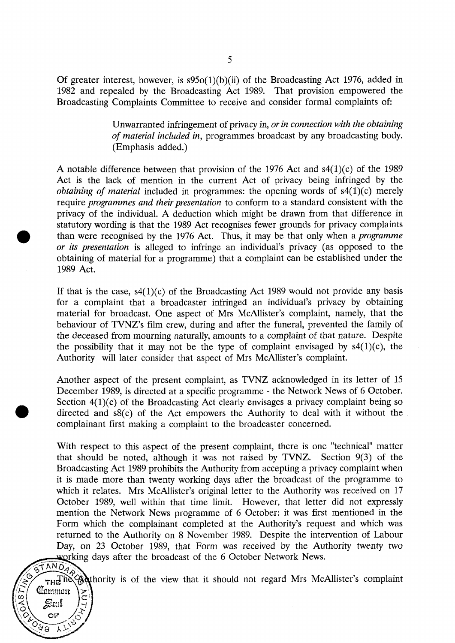Of greater interest, however, is  $s95o(1)(b)(ii)$  of the Broadcasting Act 1976, added in 1982 and repealed by the Broadcasting Act 1989. That provision empowered the Broadcasting Complaints Committee to receive and consider formal complaints of:

> Unwarranted infringement of privacy in, *or in connection with the obtaining of material included in,* programmes broadcast by any broadcasting body. (Emphasis added.)

A notable difference between that provision of the 1976 Act and  $s4(1)(c)$  of the 1989 Act is the lack of mention in the current Act of privacy being infringed by the *obtaining of material* included in programmes: the opening words of s4(1)(c) merely require *programmes and their presentation* to conform to a standard consistent with the privacy of the individual. A deduction which might be drawn from that difference in statutory wording is that the 1989 Act recognises fewer grounds for privacy complaints than were recognised by the 1976 Act. Thus, it may be that only when a *programme or its presentation* is alleged to infringe an individual's privacy (as opposed to the obtaining of material for a programme) that a complaint can be established under the 1989 Act.

If that is the case,  $s4(1)(c)$  of the Broadcasting Act 1989 would not provide any basis for a complaint that a broadcaster infringed an individual's privacy by obtaining material for broadcast. One aspect of Mrs McAllister's complaint, namely, that the behaviour of TVNZ's film crew, during and after the funeral, prevented the family of the deceased from mourning naturally, amounts to a complaint of that nature. Despite the possibility that it may not be the type of complaint envisaged by  $s4(1)(c)$ , the Authority will later consider that aspect of Mrs McAllister's complaint.

Another aspect of the present complaint, as TVNZ acknowledged in its letter of 15 December 1989, is directed at a specific programme - the Network News of 6 October. Section  $4(1)(c)$  of the Broadcasting Act clearly envisages a privacy complaint being so directed and s8(c) of the Act empowers the Authority to deal with it without the complainant first making a complaint to the broadcaster concerned.

With respect to this aspect of the present complaint, there is one "technical" matter that should be noted, although it was not raised by TVNZ. Section 9(3) of the Broadcasting Act 1989 prohibits the Authority from accepting a privacy complaint when it is made more than twenty working days after the broadcast of the programme to which it relates. Mrs McAllister's original letter to the Authority was received on 17 October 1989, well within that time limit. However, that letter did not expressly mention the Network News programme of 6 October: it was first mentioned in the Form which the complainant completed at the Authority's request and which was returned to the Authority on 8 November 1989. Despite the intervention of Labour Day, on 23 October 1989, that Form was received by the Authority twenty two working days after the broadcast of the 6 October Network News.

 $\frac{1}{\text{TRF}}$  is  $\frac{1}{\text{TRF}}$  in  $\frac{1}{\text{TRF}}$  in  $\frac{1}{\text{TRF}}$  is of the view that it should not regard Mrs McAllister's complaint

Common

OF

 $\overline{\lambda}$ 

्मेब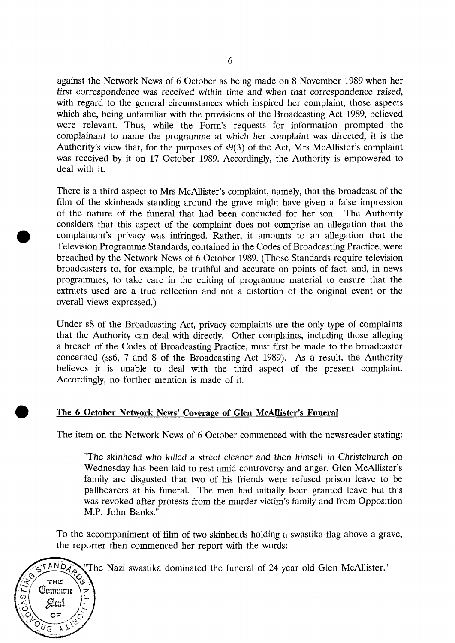against the Network News of 6 October as being made on 8 November 1989 when her first correspondence was received within time and when that correspondence raised, with regard to the general circumstances which inspired her complaint, those aspects which she, being unfamiliar with the provisions of the Broadcasting Act 1989, believed were relevant. Thus, while the Form's requests for information prompted the complainant to name the programme at which her complaint was directed, it is the Authority's view that, for the purposes of s9(3) of the Act, Mrs McAllister's complaint was received by it on 17 October 1989. Accordingly, the Authority is empowered to deal with it.

There is a third aspect to Mrs McAllister's complaint, namely, that the broadcast of the film of the skinheads standing around the grave might have given a false impression of the nature of the funeral that had been conducted for her son. The Authority considers that this aspect of the complaint does not comprise an allegation that the complainant's privacy was infringed. Rather, it amounts to an allegation that the Television Programme Standards, contained in the Codes of Broadcasting Practice, were breached by the Network News of 6 October 1989. (Those Standards require television broadcasters to, for example, be truthful and accurate on points of fact, and, in news programmes, to take care in the editing of programme material to ensure that the extracts used are a true reflection and not a distortion of the original event or the overall views expressed.)

Under s8 of the Broadcasting Act, privacy complaints are the only type of complaints that the Authority can deal with directly. Other complaints, including those alleging a breach of the Codes of Broadcasting Practice, must first be made to the broadcaster concerned (ss6, 7 and 8 of the Broadcasting Act 1989). As a result, the Authority believes it is unable to deal with the third aspect of the present complaint. Accordingly, no further mention is made of it.

# **The 6 October Network News' Coverage of Glen McAllister's Funeral**

Common

OF

્ર\

ुरुव

Ò,

The item on the Network News of 6 October commenced with the newsreader stating:

"The skinhead who killed a street cleaner and then himself in Christchurch on Wednesday has been laid to rest amid controversy and anger. Glen McAllister's family are disgusted that two of his friends were refused prison leave to be pallbearers at his funeral. The men had initially been granted leave but this was revoked after protests from the murder victim's family and from Opposition M.P. John Banks."

To the accompaniment of film of two skinheads holding a swastika flag above a grave, the reporter then commenced her report with the words:

ANDA<sub>2</sub> The Nazi swastika dominated the funeral of 24 year old Glen McAllister."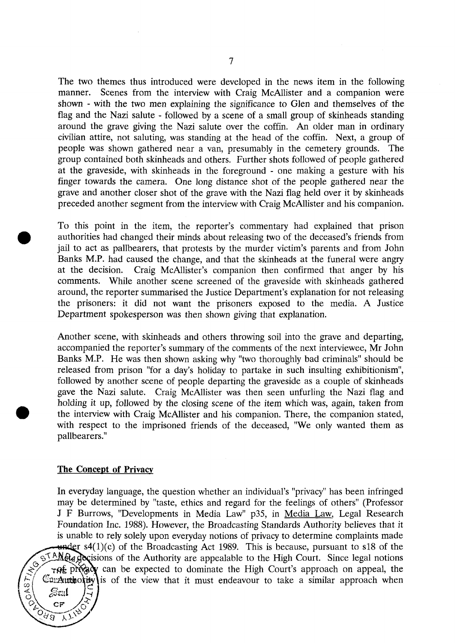The two themes thus introduced were developed in the news item in the following manner. Scenes from the interview with Craig McAllister and a companion were shown - with the two men explaining the significance to Glen and themselves of the flag and the Nazi salute - followed by a scene of a small group of skinheads standing around the grave giving the Nazi salute over the coffin. An older man in ordinary civilian attire, not saluting, was standing at the head of the coffin. Next, a group of people was shown gathered near a van, presumably in the cemetery grounds. The group contained both skinheads and others. Further shots followed of people gathered at the graveside, with skinheads in the foreground - one making a gesture with his finger towards the camera. One long distance shot of the people gathered near the grave and another closer shot of the grave with the Nazi flag held over it by skinheads preceded another segment from the interview with Craig McAllister and his companion.

To this point in the item, the reporter's commentary had explained that prison authorities had changed their minds about releasing two of the deceased's friends from jail to act as pallbearers, that protests by the murder victim's parents and from John Banks M.P. had caused the change, and that the skinheads at the funeral were angry at the decision. Craig McAllister's companion then confirmed that anger by his comments. While another scene screened of the graveside with skinheads gathered around, the reporter summarised the Justice Department's explanation for not releasing the prisoners: it did not want the prisoners exposed to the media. A Justice Department spokesperson was then shown giving that explanation.

Another scene, with skinheads and others throwing soil into the grave and departing, accompanied the reporter's summary of the comments of the next interviewee, Mr John Banks M.P. He was then shown asking why "two thoroughly bad criminals" should be released from prison "for a day's holiday to partake in such insulting exhibitionism", followed by another scene of people departing the graveside as a couple of skinheads gave the Nazi salute. Craig McAllister was then seen unfurling the Nazi flag and holding it up, followed by the closing scene of the item which was, again, taken from the interview with Craig McAllister and his companion. There, the companion stated, with respect to the imprisoned friends of the deceased, "We only wanted them as pallbearers."

### **The Concept of Privacy**

 $0A87$ 

CF

े<br>एवं ब

In everyday language, the question whether an individual's "privacy" has been infringed may be determined by "taste, ethics and regard for the feelings of others" (Professor J F Burrows, "Developments in Media Law" p35, in Media Law. Legal Research Foundation Inc. 1988). However, the Broadcasting Standards Authority believes that it is unable to rely solely upon everyday notions of privacy to determine complaints made  $\frac{1}{2}$  s4(1)(c) of the Broadcasting Act 1989. This is because, pursuant to s18 of the STANG<sub>S</sub> Recisions of the Authority are appealable to the High Court. Since legal notions  $\tau$ of production be expected to dominate the High Court's approach on appeal, the  $Conx$ unthority is of the view that it must endeavour to take a similar approach when  $S\!{\rm curl}$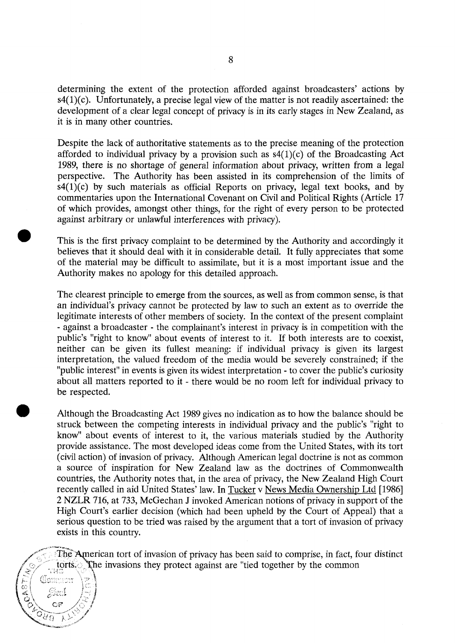determining the extent of the protection afforded against broadcasters' actions by  $s4(1)(c)$ . Unfortunately, a precise legal view of the matter is not readily ascertained: the development of a clear legal concept of privacy is in its early stages in New Zealand, as it is in many other countries.

Despite the lack of authoritative statements as to the precise meaning of the protection afforded to individual privacy by a provision such as  $s4(1)(c)$  of the Broadcasting Act 1989, there is no shortage of general information about privacy, written from a legal perspective. The Authority has been assisted in its comprehension of the limits of  $s4(1)(c)$  by such materials as official Reports on privacy, legal text books, and by commentaries upon the International Covenant on Civil and Political Rights (Article 17 of which provides, amongst other things, for the right of every person to be protected against arbitrary or unlawful interferences with privacy).

This is the first privacy complaint to be determined by the Authority and accordingly it believes that it should deal with it in considerable detail. It fully appreciates that some of the material may be difficult to assimilate, but it is a most important issue and the Authority makes no apology for this detailed approach.

The clearest principle to emerge from the sources, as well as from common sense, is that an individual's privacy cannot be protected by law to such an extent as to override the legitimate interests of other members of society. In the context of the present complaint - against a broadcaster - the complainant's interest in privacy is in competition with the public's "right to know" about events of interest to it. If both interests are to coexist, neither can be given its fullest meaning: if individual privacy is given its largest interpretation, the valued freedom of the media would be severely constrained; if the "public interest" in events is given its widest interpretation - to cover the public's curiosity about all matters reported to it - there would be no room left for individual privacy to be respected.

Although the Broadcasting Act 1989 gives no indication as to how the balance should be struck between the competing interests in individual privacy and the public's "right to know" about events of interest to it, the various materials studied by the Authority provide assistance. The most developed ideas come from the United States, with its tort (civil action) of invasion of privacy. Although American legal doctrine is not as common a source of inspiration for New Zealand law as the doctrines of Commonwealth countries, the Authority notes that, in the area of privacy, the New Zealand High Court recently called in aid United States' law. In Tucker v News Media Ownership Ltd [1986] 2 NZLR 716, at 733, McGechan J invoked American notions of privacy in support of the High Court's earlier decision (which had been upheld by the Court of Appeal) that a serious question to be tried was raised by the argument that a tort of invasion of privacy exists in this country.

The American tort of invasion of privacy has been said to comprise, in fact, four distinct torts. The invasions they protect against are "tied together by the common

Classencer

Smi

 $\forall$ 

 $rac{6}{4}$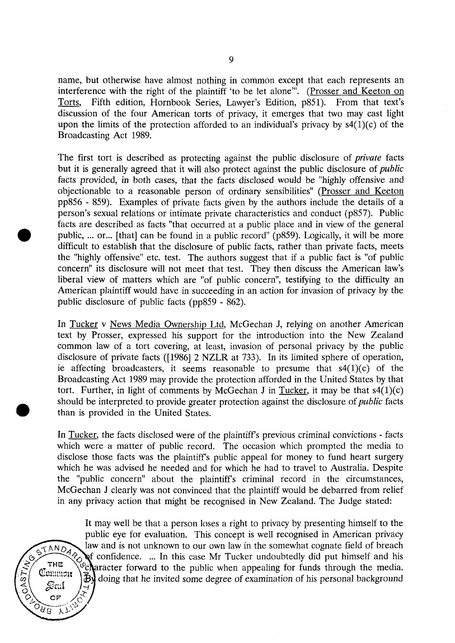name, but otherwise have almost nothing in common except that each represents an interference with the right of the plaintiff 'to be let alone'". (Prosser and Keeton on Torts, Fifth edition, Hornbook Series, Lawyer's Edition, p851). From that text's discussion of the four American torts of privacy, it emerges that two may cast light upon the limits of the protection afforded to an individual's privacy by  $s(1)(c)$  of the Broadcasting Act 1989.

The first tort is described as protecting against the public disclosure of *private* facts but it is generally agreed that it will also protect against the public disclosure of *public*  facts provided, in both cases, that the facts disclosed would be "highly offensive and objectionable to a reasonable person of ordinary sensibilities" (Prosser and Keeton pp856 - 859). Examples of private facts given by the authors include the details of a person's sexual relations or intimate private characteristics and conduct (p857). Public facts are described as facts "that occurred at a public place and in view of the general public, ... or... [that] can be found in a public record" (p859). Logically, it will be more difficult to establish that the disclosure of public facts, rather than private facts, meets the "highly offensive" etc. test. The authors suggest that if a public fact is "of public concern" its disclosure will not meet that test. They then discuss the American law's liberal view of matters which are "of public concern", testifying to the difficulty an American plaintiff would have in succeeding in an action for invasion of privacy by the public disclosure of public facts (pp859 - 862).

In Tucker v News Media Ownership Ltd, McGechan J, relying on another American text by Prosser, expressed his support for the introduction into the New Zealand common law of a tort covering, at least, invasion of personal privacy by the public disclosure of private facts ([1986] 2 NZLR at 733). In its limited sphere of operation, ie affecting broadcasters, it seems reasonable to presume that  $s4(1)(c)$  of the Broadcasting Act 1989 may provide the protection afforded in the United States by that tort. Further, in light of comments by McGechan J in Tucker, it may be that  $s4(1)(c)$ should be interpreted to provide greater protection against the disclosure of *public* facts than is provided in the United States.

In <u>Tucker</u>, the facts disclosed were of the plaintiff's previous criminal convictions - facts which were a matter of public record. The occasion which prompted the media to disclose those facts was the plaintiff's public appeal for money to fund heart surgery which he was advised he needed and for which he had to travel to Australia. Despite the "public concern" about the plaintiffs criminal record in the circumstances, McGechan J clearly was not convinced that the plaintiff would be debarred from relief in any privacy action that might be recognised in New Zealand. The Judge stated:

It may well be that a person loses a right to privacy by presenting himself to the public eye for evaluation. This concept is well recognised in American privacy law and is not unknown to our own law in the somewhat cognate field of breach confidence. ... In this case Mr Tucker undoubtedly did put himself and his aracter forward to the public when appealing for funds through the media. doing that he invited some degree of examination of his personal background

Common

OF

ーハア

 $O$ Ng

 $648$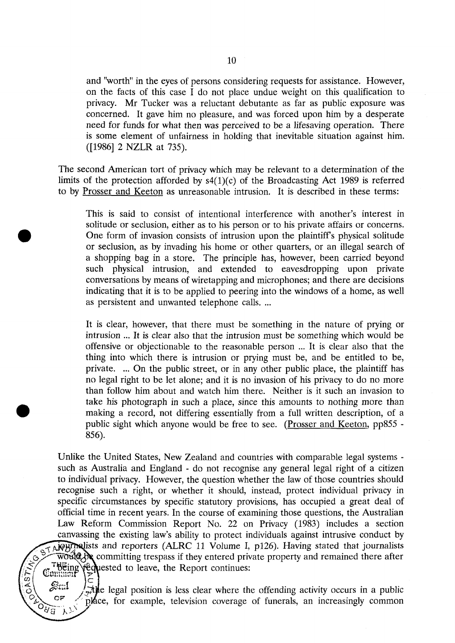and "worth" in the eyes of persons considering requests for assistance. However, on the facts of this case I do not place undue weight on this qualification to privacy. Mr Tucker was a reluctant debutante as far as public exposure was concerned. It gave him no pleasure, and was forced upon him by a desperate need for funds for what then was perceived to be a lifesaving operation. There is some element of unfairness in holding that inevitable situation against him. ([1986] 2 NZLR at 735).

The second American tort of privacy which may be relevant to a determination of the limits of the protection afforded by  $s4(1)(c)$  of the Broadcasting Act 1989 is referred to by Prosser and Keeton as unreasonable intrusion. It is described in these terms:

This is said to consist of intentional interference with another's interest in solitude or seclusion, either as to his person or to his private affairs or concerns. One form of invasion consists of intrusion upon the plaintiff's physical solitude or seclusion, as by invading his home or other quarters, or an illegal search of a shopping bag in a store. The principle has, however, been carried beyond such physical intrusion, and extended to eavesdropping upon private conversations by means of wiretapping and microphones; and there are decisions indicating that it is to be applied to peering into the windows of a home, as well as persistent and unwanted telephone calls. ...

It is clear, however, that there must be something in the nature of prying or intrusion ... It is clear also that the intrusion must be something which would be offensive or objectionable to the reasonable person ... It is clear also that the thing into which there is intrusion or prying must be, and be entitled to be, private. ... On the public street, or in any other public place, the plaintiff has no legal right to be let alone; and it is no invasion of his privacy to do no more than follow him about and watch him there. Neither is it such an invasion to take his photograph in such a place, since this amounts to nothing more than making a record, not differing essentially from a full written description, of a public sight which anyone would be free to see. (Prosser and Keeton, pp855 - 856).

Unlike the United States, New Zealand and countries with comparable legal systems such as Australia and England - do not recognise any general legal right of a citizen to individual privacy. However, the question whether the law of those countries should recognise such a right, or whether it should, instead, protect individual privacy in specific circumstances by specific statutory provisions, has occupied a great deal of official time in recent years. In the course of examining those questions, the Australian Law Reform Commission Report No. 22 on Privacy (1983) includes a section canvassing the existing law's ability to protect individuals against intrusive conduct by  $\overline{A}$ ) purches and reporters (ALRC 11 Volume I, p126). Having stated that journalists  $\widetilde{\text{wold}}$   $\mathcal{A}$  committing trespass if they entered private property and remained there after Theing requested to leave, the Report continues:

 $\mathscr{P}^{\mathfrak{t}_{\mathfrak{t}}\mathfrak{t}_{\mathfrak{t}}}$  /  $\mathfrak{t}_{\mathfrak{t}}\mathfrak{t}_{\mathfrak{t}}$  legal position is less clear where the offending activity occurs in a public  $\mathcal{F}$  . place, for example, television coverage of funerals, an increasingly common  $\lambda$ 

**OF** 

 $o_{\delta \widetilde{g}}$ 

 $CAS$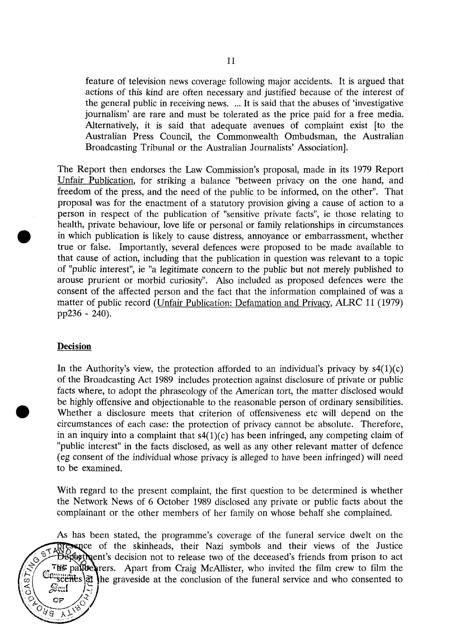feature of television news coverage following major accidents. It is argued that actions of this kind are often necessary and justified because of the interest of the general public in receiving news. ... It is said that the abuses of 'investigative journalism' are rare and must be tolerated as the price paid for a free media. Alternatively, it is said that adequate avenues of complaint exist [to the Australian Press Council, the Commonwealth Ombudsman, the Australian Broadcasting Tribunal or the Australian Journalists' Association].

The Report then endorses the Law Commission's proposal, made in its 1979 Report Unfair Publication, for striking a balance "between privacy on the one hand, and freedom of the press, and the need of the public to be informed, on the other". That proposal was for the enactment of a statutory provision giving a cause of action to a person in respect of the publication of "sensitive private facts", ie those relating to health, private behaviour, love life or personal or family relationships in circumstances in which publication is likely to cause distress, annoyance or embarrassment, whether true or false. Importantly, several defences were proposed to be made available to that cause of action, including that the publication in question was relevant to a topic of "public interest", ie "a legitimate concern to the public but not merely published to arouse prurient or morbid curiosity". Also included as proposed defences were the consent of the affected person and the fact that the information complained of was a matter of public record (Unfair Publication: Defamation and Privacy. ALRC 11 (1979) pp236 - 240).

## **Decision**

 $\frac{1}{\sqrt{2}}$ 

へん

In the Authority's view, the protection afforded to an individual's privacy by  $s4(1)(c)$ of the Broadcasting Act 1989 includes protection against disclosure of private or public facts where, to adopt the phraseology of the American tort, the matter disclosed would be highly offensive and objectionable to the reasonable person of ordinary sensibilities. Whether a disclosure meets that criterion of offensiveness etc will depend on the circumstances of each case: the protection of privacy cannot be absolute. Therefore, in an inquiry into a complaint that  $s(1)(c)$  has been infringed, any competing claim of "public interest" in the facts disclosed, as well as any other relevant matter of defence (eg consent of the individual whose privacy is alleged to have been infringed) will need to be examined.

With regard to the present complaint, the first question to be determined is whether the Network News of 6 October 1989 disclosed any private or public facts about the complainant or the other members of her family on whose behalf she complained.

As has been stated, the programme's coverage of the funeral service dwelt on the presence of the skinheads, their Nazi symbols and their views of the Justice  $\tilde{\mathbf{B}}$ extext pent's decision not to release two of the deceased's friends from prison to act THE pallet prers. Apart from Craig McAllister, who invited the film crew to film the  $\mathbb{G}_{\text{m}}$  scenes  $\mathbb{F}_{\text{m}}$  the graveside at the conclusion of the funeral service and who consented to  $\overline{O}$ AS Scul OF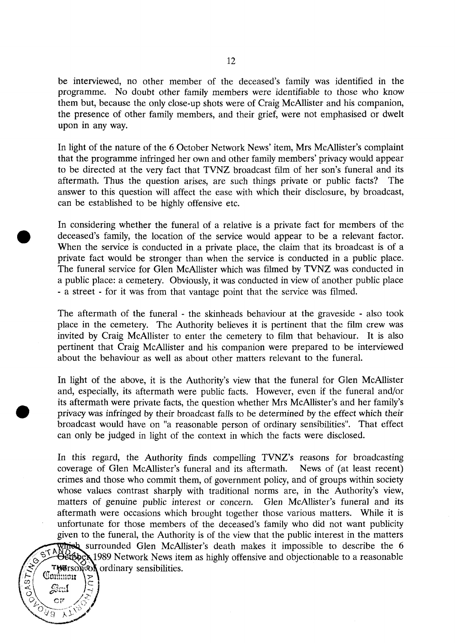be interviewed, no other member of the deceased's family was identified in the programme. No doubt other family members were identifiable to those who know them but, because the only close-up shots were of Craig McAllister and his companion, the presence of other family members, and their grief, were not emphasised or dwelt upon in any way.

In light of the nature of the 6 October Network News' item, Mrs McAllister's complaint that the programme infringed her own and other family members' privacy would appear to be directed at the very fact that TVNZ broadcast film of her son's funeral and its aftermath. Thus the question arises, are such things private or public facts? The answer to this question will affect the ease with which their disclosure, by broadcast, can be established to be highly offensive etc.

In considering whether the funeral of a relative is a private fact for members of the deceased's family, the location of the service would appear to be a relevant factor. When the service is conducted in a private place, the claim that its broadcast is of a private fact would be stronger than when the service is conducted in a public place. The funeral service for Glen McAllister which was filmed by TVNZ was conducted in a public place: a cemetery. Obviously, it was conducted in view of another public place - a street - for it was from that vantage point that the service was filmed.

The aftermath of the funeral - the skinheads behaviour at the graveside - also took place in the cemetery. The Authority believes it is pertinent that the film crew was invited by Craig McAllister to enter the cemetery to film that behaviour. It is also pertinent that Craig McAllister and his companion were prepared to be interviewed about the behaviour as well as about other matters relevant to the funeral.

In light of the above, it is the Authority's view that the funeral for Glen McAllister and, especially, its aftermath were public facts. However, even if the funeral and/or its aftermath were private facts, the question whether Mrs McAllister's and her family's privacy was infringed by their broadcast falls to be determined by the effect which their broadcast would have on "a reasonable person of ordinary sensibilities". That effect can only be judged in light of the context in which the facts were disclosed.

In this regard, the Authority finds compelling TVNZ's reasons for broadcasting coverage of Glen McAllister's funeral and its aftermath. News of (at least recent) crimes and those who commit them, of government policy, and of groups within society whose values contrast sharply with traditional norms are, in the Authority's view, matters of genuine public interest or concern. Glen McAllister's funeral and its aftermath were occasions which brought together those various matters. While it is unfortunate for those members of the deceased's family who did not want publicity given to the funeral, the Authority is of the view that the public interest in the matters Which surrounded Glen McAllister's death makes it impossible to describe the  $6$ et**tber** 1989 Network News item as highly offensive and objectionable to a reasonable **BUTSON OF AUTORY SENSIBILITIES.** 

 $0.87$ 

OF

 $\lambda$ 

े प्र